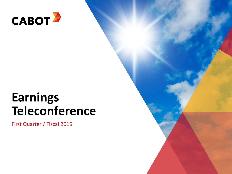

# **Earnings Teleconference**

First Quarter / Fiscal 2016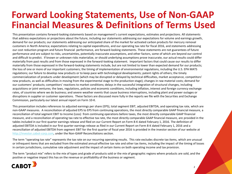### **Forward Looking Statements, Use of Non-GAAP Financial Measures & Definitions of Terms Used**

This presentation contains forward-looking statements based on management's current expectations, estimates and projections. All statements that address expectations or projections about the future, including our statements addressing our expectations for volume and earnings growth, demand for our products; our statements addressing our anticipated share of the market for activated carbon products for mercury removal customers in North America; expectations relating to capital expenditures, and our operating tax rate for fiscal 2016, and statements addressing our cost reduction program and future financial performance, are forward-looking statements. These statements are not guarantees of future performance and are subject to risks, uncertainties, potentially inaccurate assumptions, and other factors, some of which are beyond our control and difficult to predict. If known or unknown risks materialize, or should underlying assumptions prove inaccurate, our actual results could differ materially from past results and from those expressed in the forward-looking statement. Important factors that could cause our results to differ materially from those expressed in the forward-looking statements include, but are not limited to lower than expected demand for our products; the loss of one or more of our important customers; the timing of implementation of environmental regulations, including the U.S. EPA MATS regulations; our failure to develop new products or to keep pace with technological developments; patent rights of others; the timely commercialization of products under development (which may be disrupted or delayed by technical difficulties, market acceptance, competitors' new products, as well as difficulties in moving from the experimental stage to the production stage); changes in raw material costs; demand for our customers' products; competitors' reactions to market conditions; delays in the successful integration of structural changes, including acquisitions or joint ventures; the laws, regulations, policies and economic conditions, including inflation, interest and foreign currency exchange rates, of countries where we do business; and severe weather events that cause business interruptions, including plant and power outages or disruptions in supplier or customer operations. These factors are discussed more fully in the reports we file with the Securities and Exchange Commission, particularly our latest annual report on Form 10-K.

This presentation includes references to adjusted earnings per share (EPS), total segment EBIT, adjusted EBITDA, and operating tax rate, which are non-GAAP measures. A reconciliation of adjusted EPS to EPS from continuing operations, the most directly comparable GAAP financial measure, a reconciliation of total segment EBIT to Income (Loss) from continuing operations before taxes, the most directly comparable GAAP financial measure, and a reconciliation of operating tax rate to effective tax rate, the most directly comparable GAAP financial measure, are provided in the tables included in our first quarter earnings release and filed on our Current Report on Form 8-K dated February 1, 2016. The definition of adjusted EBITDA is included in our first quarter earnings release as filed in our Current Report on Form 8-K dated February 1, 2016 and a reconciliation of adjusted EBITDA from segment EBIT for the first quarter of fiscal year 2016 is provided in the investor section of our website at [http://investor.cabot-corp.com](http://investor.cabot-corp.com/), under the Non-GAAP Reconciliations section.

The term "operating tax rate" represents the tax rate on our recurring operating results. This rate excludes discrete tax items, which are unusual or infrequent items that are excluded from the estimated annual effective tax rate and other tax items, including the impact of the timing of losses in certain jurisdictions, cumulative rate adjustment and the impact of certain items on both operating income and tax provision.

The term "product mix" refers to the mix of types and grade of products sold or the mix of geographic regions where products are sold, and the positive or negative impact this has on the revenue or profitability of the business or segment.

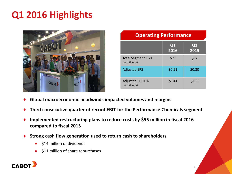# **Q1 2016 Highlights**



| <b>Operating Performance</b>               |            |                  |  |
|--------------------------------------------|------------|------------------|--|
|                                            | Q1<br>2016 | $\bf Q1$<br>2015 |  |
| <b>Total Segment EBIT</b><br>(in millions) | \$71       | \$97             |  |
| <b>Adjusted EPS</b>                        | \$0.51     | \$0.80           |  |
| <b>Adjusted EBITDA</b><br>(in millions)    | \$100      | \$133            |  |

- **Global macroeconomic headwinds impacted volumes and margins**
- **Third consecutive quarter of record EBIT for the Performance Chemicals segment**
- **Implemented restructuring plans to reduce costs by \$55 million in fiscal 2016 compared to fiscal 2015**
- **Strong cash flow generation used to return cash to shareholders**
	- \$14 million of dividends
	- \$11 million of share repurchases

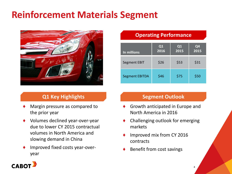# **Reinforcement Materials Segment**



### **Q1 Key Highlights**

- Margin pressure as compared to the prior year
- ♦ Volumes declined year-over-year due to lower CY 2015 contractual volumes in North America and slowing demand in China
- Improved fixed costs year-overyear

#### **Operating Performance**

| In millions           | Q1<br>2016 | Q1<br>2015 | Q <sub>4</sub><br>2015 |
|-----------------------|------------|------------|------------------------|
| Segment EBIT          | \$26       | \$53       | \$31                   |
| <b>Segment EBITDA</b> | \$46       | \$75       | \$50                   |

#### **Segment Outlook**

- Growth anticipated in Europe and North America in 2016
- Challenging outlook for emerging markets

4

- Improved mix from CY 2016 contracts
- Benefit from cost savings

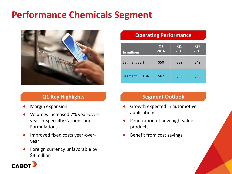## **Performance Chemicals Segment**



### **Q1 Key Highlights**

- Margin expansion
- Volumes increased 7% year-overyear in Specialty Carbons and Formulations
- Improved fixed costs year-overyear
- Foreign currency unfavorable by \$3 million

#### **Operating Performance**

| In millions           | Q <sub>1</sub><br>2016 | Q <sub>1</sub><br>2015 | Q <sub>4</sub><br>2015 |
|-----------------------|------------------------|------------------------|------------------------|
| <b>Segment EBIT</b>   | \$50                   | \$39                   | \$49                   |
| <b>Segment EBITDA</b> | \$62                   | \$53                   | \$63                   |

#### **Segment Outlook**

- Growth expected in automotive applications
- Penetration of new high-value products
- Benefit from cost savings

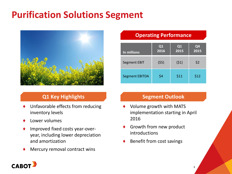## **Purification Solutions Segment**



### **Q1 Key Highlights**

- Unfavorable effects from reducing inventory levels
- Lower volumes
- Improved fixed costs year-overyear, including lower depreciation and amortization
- Mercury removal contract wins

#### **Operating Performance**

| In millions           | Q <sub>1</sub><br>2016 | Q <sub>1</sub><br>2015 | Q <sub>4</sub><br>2015 |
|-----------------------|------------------------|------------------------|------------------------|
| Segment EBIT          | (55)                   | (51)                   | \$2                    |
| <b>Segment EBITDA</b> | \$4                    | \$11                   | \$12                   |

#### **Segment Outlook**

- Volume growth with MATS implementation starting in April 2016
- Growth from new product introductions
- Benefit from cost savings

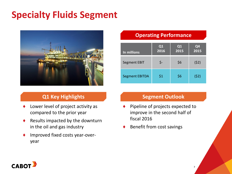# **Specialty Fluids Segment**



### **Q1 Key Highlights**

- Lower level of project activity as compared to the prior year
- $\triangle$  Results impacted by the downturn in the oil and gas industry
- Improved fixed costs year-overyear

#### **Operating Performance**

| In millions           | Q1<br>2016 | Q1<br>2015 | Q4<br>2015 |
|-----------------------|------------|------------|------------|
| Segment EBIT          | \$-        | \$6        | (52)       |
| <b>Segment EBITDA</b> | \$1        | \$6        | (52)       |

#### **Segment Outlook**

7

- Pipeline of projects expected to improve in the second half of fiscal 2016
- Benefit from cost savings

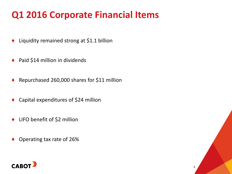# **Q1 2016 Corporate Financial Items**

- Liquidity remained strong at \$1.1 billion
- ◆ Paid \$14 million in dividends
- Repurchased 260,000 shares for \$11 million
- Capital expenditures of \$24 million
- ♦ LIFO benefit of \$2 million
- Operating tax rate of 26%



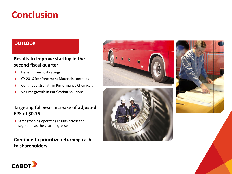### **Conclusion**

#### **OUTLOOK**

#### **Results to improve starting in the second fiscal quarter**

- Benefit from cost savings
- CY 2016 Reinforcement Materials contracts
- Continued strength in Performance Chemicals
- Volume growth in Purification Solutions

#### **Targeting full year increase of adjusted EPS of \$0.75**

◆ Strengthening operating results across the segments as the year progresses

#### **Continue to prioritize returning cash to shareholders**